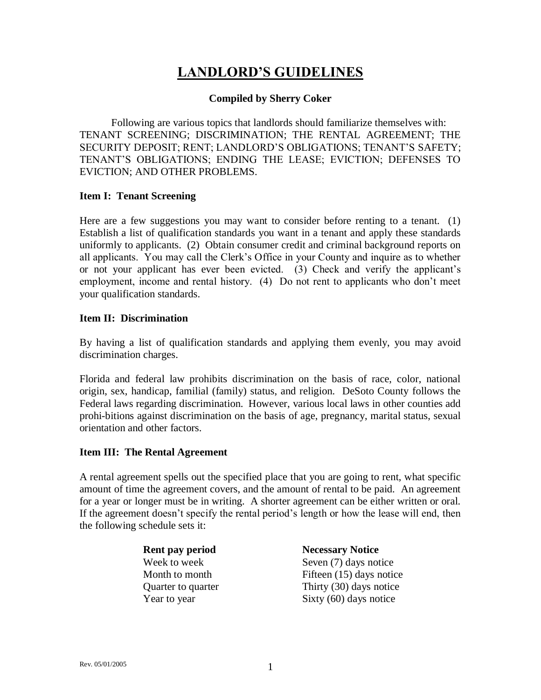# **LANDLORD'S GUIDELINES**

#### **Compiled by Sherry Coker**

Following are various topics that landlords should familiarize themselves with: TENANT SCREENING; DISCRIMINATION; THE RENTAL AGREEMENT; THE SECURITY DEPOSIT; RENT; LANDLORD'S OBLIGATIONS; TENANT'S SAFETY; TENANT'S OBLIGATIONS; ENDING THE LEASE; EVICTION; DEFENSES TO EVICTION; AND OTHER PROBLEMS.

#### **Item I: Tenant Screening**

Here are a few suggestions you may want to consider before renting to a tenant. (1) Establish a list of qualification standards you want in a tenant and apply these standards uniformly to applicants. (2) Obtain consumer credit and criminal background reports on all applicants. You may call the Clerk's Office in your County and inquire as to whether or not your applicant has ever been evicted. (3) Check and verify the applicant's employment, income and rental history. (4) Do not rent to applicants who don't meet your qualification standards.

#### **Item II: Discrimination**

By having a list of qualification standards and applying them evenly, you may avoid discrimination charges.

Florida and federal law prohibits discrimination on the basis of race, color, national origin, sex, handicap, familial (family) status, and religion. DeSoto County follows the Federal laws regarding discrimination. However, various local laws in other counties add prohi-bitions against discrimination on the basis of age, pregnancy, marital status, sexual orientation and other factors.

## **Item III: The Rental Agreement**

A rental agreement spells out the specified place that you are going to rent, what specific amount of time the agreement covers, and the amount of rental to be paid. An agreement for a year or longer must be in writing. A shorter agreement can be either written or oral. If the agreement doesn't specify the rental period's length or how the lease will end, then the following schedule sets it:

| <b>Rent pay period</b> |
|------------------------|
| Week to week           |
| Month to month         |
| Quarter to quarter     |
| Year to year           |

**Necessary Notice** Seven  $(7)$  days notice Fifteen  $(15)$  days notice Thirty  $(30)$  days notice Sixty  $(60)$  days notice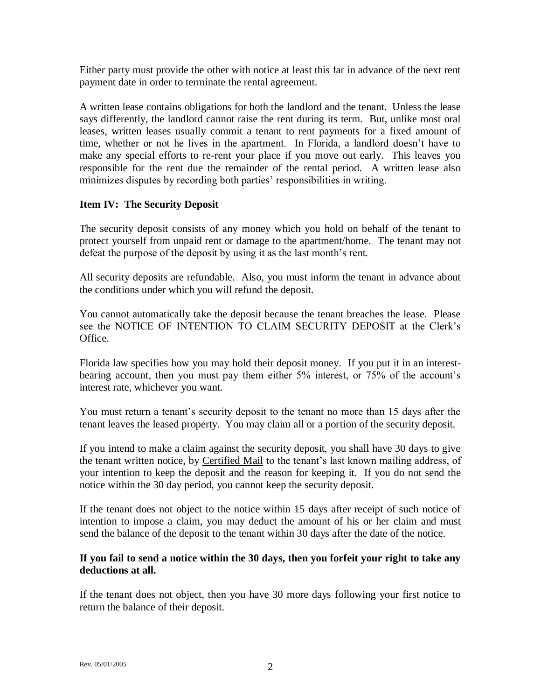Either party must provide the other with notice at least this far in advance of the next rent payment date in order to terminate the rental agreement.

A written lease contains obligations for both the landlord and the tenant. Unless the lease says differently, the landlord cannot raise the rent during its term. But, unlike most oral leases, written leases usually commit a tenant to rent payments for a fixed amount of time, whether or not he lives in the apartment. In Florida, a landlord doesn't have to make any special efforts to re-rent your place if you move out early. This leaves you responsible for the rent due the remainder of the rental period. A written lease also minimizes disputes by recording both parties' responsibilities in writing.

# **Item IV: The Security Deposit**

The security deposit consists of any money which you hold on behalf of the tenant to protect yourself from unpaid rent or damage to the apartment/home. The tenant may not defeat the purpose of the deposit by using it as the last month's rent.

All security deposits are refundable. Also, you must inform the tenant in advance about the conditions under which you will refund the deposit.

You cannot automatically take the deposit because the tenant breaches the lease. Please see the NOTICE OF INTENTION TO CLAIM SECURITY DEPOSIT at the Clerk's Office.

Florida law specifies how you may hold their deposit money. If you put it in an interestbearing account, then you must pay them either 5% interest, or 75% of the account's interest rate, whichever you want.

You must return a tenant's security deposit to the tenant no more than 15 days after the tenant leaves the leased property. You may claim all or a portion of the security deposit.

If you intend to make a claim against the security deposit, you shall have 30 days to give the tenant written notice, by Certified Mail to the tenant's last known mailing address, of your intention to keep the deposit and the reason for keeping it. If you do not send the notice within the 30 day period, you cannot keep the security deposit.

If the tenant does not object to the notice within 15 days after receipt of such notice of intention to impose a claim, you may deduct the amount of his or her claim and must send the balance of the deposit to the tenant within 30 days after the date of the notice.

# **If you fail to send a notice within the 30 days, then you forfeit your right to take any deductions at all.**

If the tenant does not object, then you have 30 more days following your first notice to return the balance of their deposit.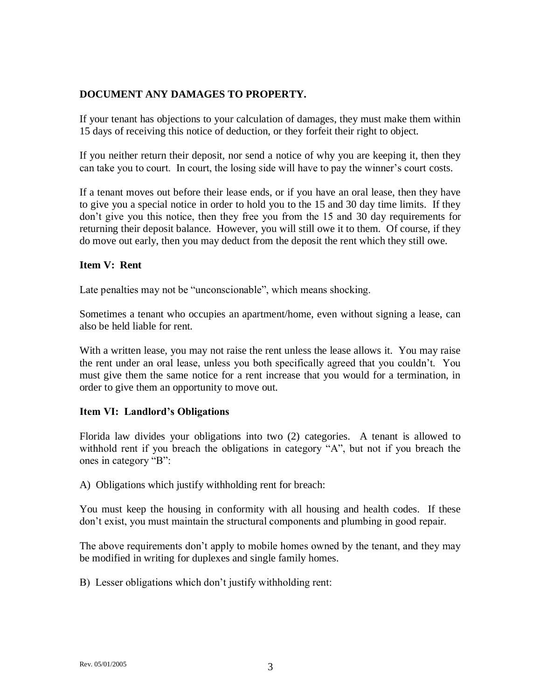# **DOCUMENT ANY DAMAGES TO PROPERTY.**

If your tenant has objections to your calculation of damages, they must make them within 15 days of receiving this notice of deduction, or they forfeit their right to object.

If you neither return their deposit, nor send a notice of why you are keeping it, then they can take you to court. In court, the losing side will have to pay the winner's court costs.

If a tenant moves out before their lease ends, or if you have an oral lease, then they have to give you a special notice in order to hold you to the 15 and 30 day time limits. If they don't give you this notice, then they free you from the 15 and 30 day requirements for returning their deposit balance. However, you will still owe it to them. Of course, if they do move out early, then you may deduct from the deposit the rent which they still owe.

#### **Item V: Rent**

Late penalties may not be "unconscionable", which means shocking.

Sometimes a tenant who occupies an apartment/home, even without signing a lease, can also be held liable for rent.

With a written lease, you may not raise the rent unless the lease allows it. You may raise the rent under an oral lease, unless you both specifically agreed that you couldn't. You must give them the same notice for a rent increase that you would for a termination, in order to give them an opportunity to move out.

## **Item VI: Landlord's Obligations**

Florida law divides your obligations into two (2) categories. A tenant is allowed to withhold rent if you breach the obligations in category "A", but not if you breach the ones in category "B":

A) Obligations which justify withholding rent for breach:

You must keep the housing in conformity with all housing and health codes. If these don't exist, you must maintain the structural components and plumbing in good repair.

The above requirements don't apply to mobile homes owned by the tenant, and they may be modified in writing for duplexes and single family homes.

B) Lesser obligations which don't justify withholding rent: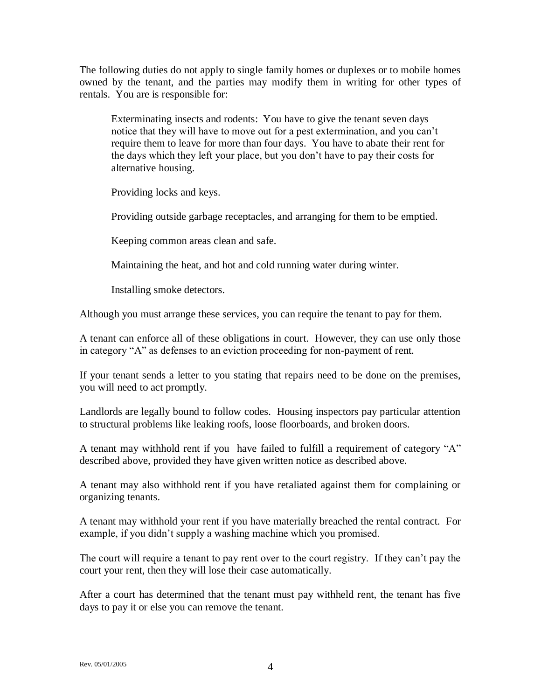The following duties do not apply to single family homes or duplexes or to mobile homes owned by the tenant, and the parties may modify them in writing for other types of rentals. You are is responsible for:

Exterminating insects and rodents: You have to give the tenant seven days notice that they will have to move out for a pest extermination, and you can't require them to leave for more than four days. You have to abate their rent for the days which they left your place, but you don't have to pay their costs for alternative housing.

Providing locks and keys.

Providing outside garbage receptacles, and arranging for them to be emptied.

Keeping common areas clean and safe.

Maintaining the heat, and hot and cold running water during winter.

Installing smoke detectors.

Although you must arrange these services, you can require the tenant to pay for them.

A tenant can enforce all of these obligations in court. However, they can use only those in category "A" as defenses to an eviction proceeding for non-payment of rent.

If your tenant sends a letter to you stating that repairs need to be done on the premises, you will need to act promptly.

Landlords are legally bound to follow codes. Housing inspectors pay particular attention to structural problems like leaking roofs, loose floorboards, and broken doors.

A tenant may withhold rent if you have failed to fulfill a requirement of category "A" described above, provided they have given written notice as described above.

A tenant may also withhold rent if you have retaliated against them for complaining or organizing tenants.

A tenant may withhold your rent if you have materially breached the rental contract. For example, if you didn't supply a washing machine which you promised.

The court will require a tenant to pay rent over to the court registry. If they can't pay the court your rent, then they will lose their case automatically.

After a court has determined that the tenant must pay withheld rent, the tenant has five days to pay it or else you can remove the tenant.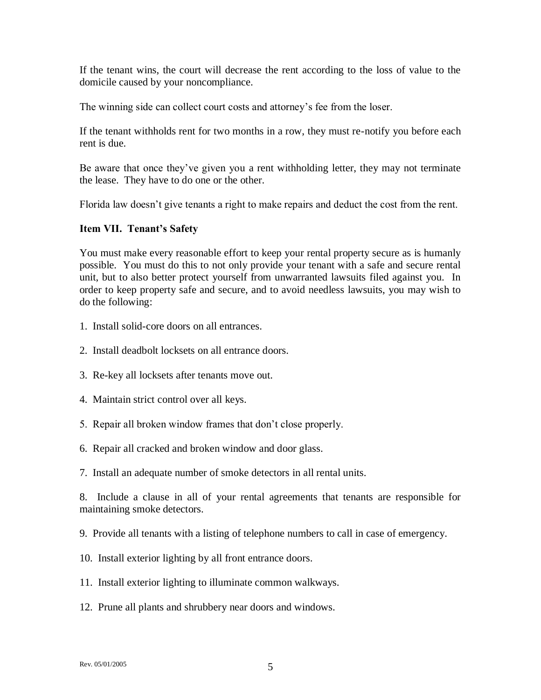If the tenant wins, the court will decrease the rent according to the loss of value to the domicile caused by your noncompliance.

The winning side can collect court costs and attorney's fee from the loser.

If the tenant withholds rent for two months in a row, they must re-notify you before each rent is due.

Be aware that once they've given you a rent withholding letter, they may not terminate the lease. They have to do one or the other.

Florida law doesn't give tenants a right to make repairs and deduct the cost from the rent.

## **Item VII. Tenant's Safety**

You must make every reasonable effort to keep your rental property secure as is humanly possible. You must do this to not only provide your tenant with a safe and secure rental unit, but to also better protect yourself from unwarranted lawsuits filed against you. In order to keep property safe and secure, and to avoid needless lawsuits, you may wish to do the following:

- 1. Install solid-core doors on all entrances.
- 2. Install deadbolt locksets on all entrance doors.
- 3. Re-key all locksets after tenants move out.
- 4. Maintain strict control over all keys.
- 5. Repair all broken window frames that don't close properly.
- 6. Repair all cracked and broken window and door glass.
- 7. Install an adequate number of smoke detectors in all rental units.

8. Include a clause in all of your rental agreements that tenants are responsible for maintaining smoke detectors.

9. Provide all tenants with a listing of telephone numbers to call in case of emergency.

- 10. Install exterior lighting by all front entrance doors.
- 11. Install exterior lighting to illuminate common walkways.
- 12. Prune all plants and shrubbery near doors and windows.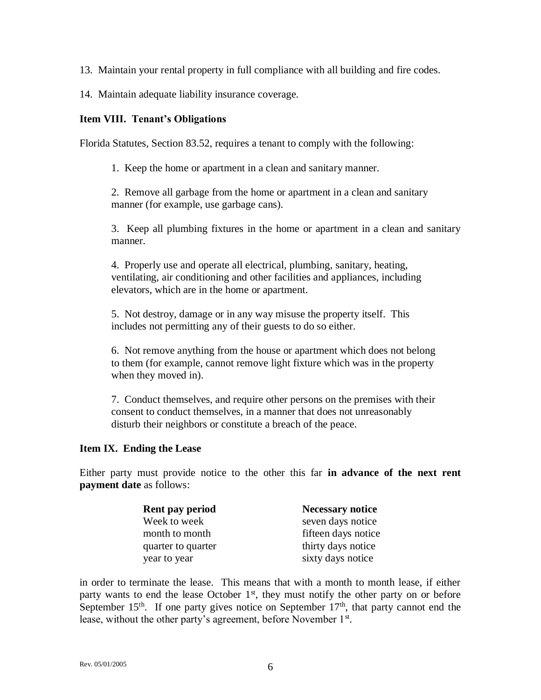13. Maintain your rental property in full compliance with all building and fire codes.

14. Maintain adequate liability insurance coverage.

# **Item VIII. Tenant's Obligations**

Florida Statutes, Section 83.52, requires a tenant to comply with the following:

1. Keep the home or apartment in a clean and sanitary manner.

2. Remove all garbage from the home or apartment in a clean and sanitary manner (for example, use garbage cans).

3. Keep all plumbing fixtures in the home or apartment in a clean and sanitary manner.

4. Properly use and operate all electrical, plumbing, sanitary, heating, ventilating, air conditioning and other facilities and appliances, including elevators, which are in the home or apartment.

5. Not destroy, damage or in any way misuse the property itself. This includes not permitting any of their guests to do so either.

6. Not remove anything from the house or apartment which does not belong to them (for example, cannot remove light fixture which was in the property when they moved in).

7. Conduct themselves, and require other persons on the premises with their consent to conduct themselves, in a manner that does not unreasonably disturb their neighbors or constitute a breach of the peace.

## **Item IX. Ending the Lease**

Either party must provide notice to the other this far **in advance of the next rent payment date** as follows:

| Rent pay period    | <b>Necessary notice</b> |
|--------------------|-------------------------|
| Week to week       | seven days notice       |
| month to month     | fifteen days notice     |
| quarter to quarter | thirty days notice      |
| year to year       | sixty days notice       |

in order to terminate the lease. This means that with a month to month lease, if either party wants to end the lease October  $1<sup>st</sup>$ , they must notify the other party on or before September  $15<sup>th</sup>$ . If one party gives notice on September  $17<sup>th</sup>$ , that party cannot end the lease, without the other party's agreement, before November 1<sup>st</sup>.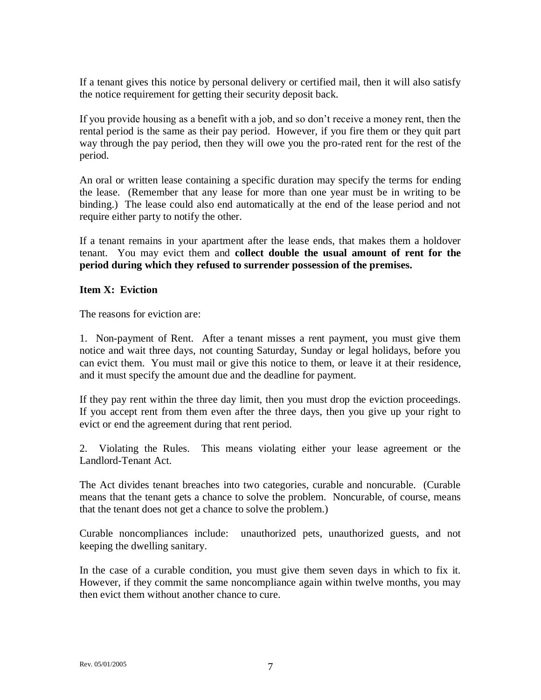If a tenant gives this notice by personal delivery or certified mail, then it will also satisfy the notice requirement for getting their security deposit back.

If you provide housing as a benefit with a job, and so don't receive a money rent, then the rental period is the same as their pay period. However, if you fire them or they quit part way through the pay period, then they will owe you the pro-rated rent for the rest of the period.

An oral or written lease containing a specific duration may specify the terms for ending the lease. (Remember that any lease for more than one year must be in writing to be binding.) The lease could also end automatically at the end of the lease period and not require either party to notify the other.

If a tenant remains in your apartment after the lease ends, that makes them a holdover tenant. You may evict them and **collect double the usual amount of rent for the period during which they refused to surrender possession of the premises.**

# **Item X: Eviction**

The reasons for eviction are:

1. Non-payment of Rent. After a tenant misses a rent payment, you must give them notice and wait three days, not counting Saturday, Sunday or legal holidays, before you can evict them. You must mail or give this notice to them, or leave it at their residence, and it must specify the amount due and the deadline for payment.

If they pay rent within the three day limit, then you must drop the eviction proceedings. If you accept rent from them even after the three days, then you give up your right to evict or end the agreement during that rent period.

2. Violating the Rules. This means violating either your lease agreement or the Landlord-Tenant Act.

The Act divides tenant breaches into two categories, curable and noncurable. (Curable means that the tenant gets a chance to solve the problem. Noncurable, of course, means that the tenant does not get a chance to solve the problem.)

Curable noncompliances include: unauthorized pets, unauthorized guests, and not keeping the dwelling sanitary.

In the case of a curable condition, you must give them seven days in which to fix it. However, if they commit the same noncompliance again within twelve months, you may then evict them without another chance to cure.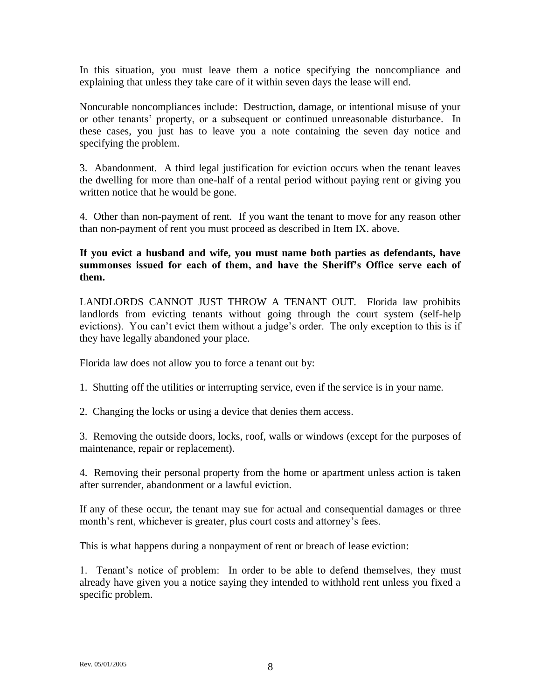In this situation, you must leave them a notice specifying the noncompliance and explaining that unless they take care of it within seven days the lease will end.

Noncurable noncompliances include: Destruction, damage, or intentional misuse of your or other tenants' property, or a subsequent or continued unreasonable disturbance. In these cases, you just has to leave you a note containing the seven day notice and specifying the problem.

3. Abandonment. A third legal justification for eviction occurs when the tenant leaves the dwelling for more than one-half of a rental period without paying rent or giving you written notice that he would be gone.

4. Other than non-payment of rent. If you want the tenant to move for any reason other than non-payment of rent you must proceed as described in Item IX. above.

**If you evict a husband and wife, you must name both parties as defendants, have summonses issued for each of them, and have the Sheriff's Office serve each of them.**

LANDLORDS CANNOT JUST THROW A TENANT OUT. Florida law prohibits landlords from evicting tenants without going through the court system (self-help evictions). You can't evict them without a judge's order. The only exception to this is if they have legally abandoned your place.

Florida law does not allow you to force a tenant out by:

1. Shutting off the utilities or interrupting service, even if the service is in your name.

2. Changing the locks or using a device that denies them access.

3. Removing the outside doors, locks, roof, walls or windows (except for the purposes of maintenance, repair or replacement).

4. Removing their personal property from the home or apartment unless action is taken after surrender, abandonment or a lawful eviction.

If any of these occur, the tenant may sue for actual and consequential damages or three month's rent, whichever is greater, plus court costs and attorney's fees.

This is what happens during a nonpayment of rent or breach of lease eviction:

1. Tenant's notice of problem: In order to be able to defend themselves, they must already have given you a notice saying they intended to withhold rent unless you fixed a specific problem.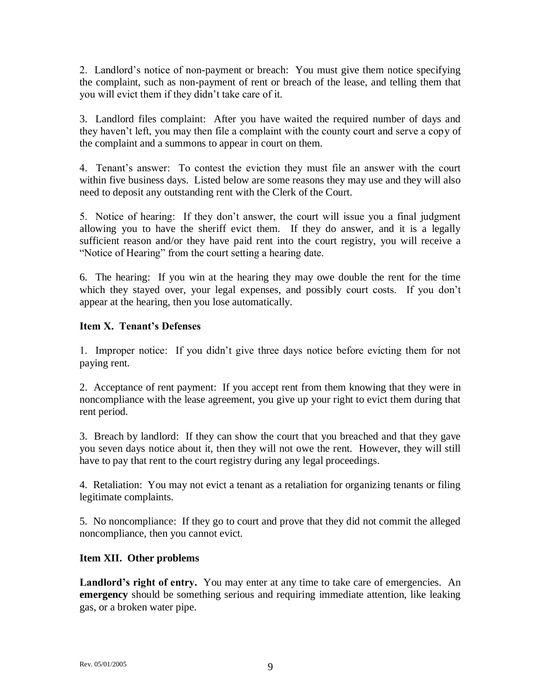2. Landlord's notice of non-payment or breach: You must give them notice specifying the complaint, such as non-payment of rent or breach of the lease, and telling them that you will evict them if they didn't take care of it.

3. Landlord files complaint: After you have waited the required number of days and they haven't left, you may then file a complaint with the county court and serve a copy of the complaint and a summons to appear in court on them.

4. Tenant's answer: To contest the eviction they must file an answer with the court within five business days. Listed below are some reasons they may use and they will also need to deposit any outstanding rent with the Clerk of the Court.

5. Notice of hearing: If they don't answer, the court will issue you a final judgment allowing you to have the sheriff evict them. If they do answer, and it is a legally sufficient reason and/or they have paid rent into the court registry, you will receive a "Notice of Hearing" from the court setting a hearing date.

6. The hearing: If you win at the hearing they may owe double the rent for the time which they stayed over, your legal expenses, and possibly court costs. If you don't appear at the hearing, then you lose automatically.

# **Item X. Tenant's Defenses**

1. Improper notice: If you didn't give three days notice before evicting them for not paying rent.

2. Acceptance of rent payment: If you accept rent from them knowing that they were in noncompliance with the lease agreement, you give up your right to evict them during that rent period.

3. Breach by landlord: If they can show the court that you breached and that they gave you seven days notice about it, then they will not owe the rent. However, they will still have to pay that rent to the court registry during any legal proceedings.

4. Retaliation: You may not evict a tenant as a retaliation for organizing tenants or filing legitimate complaints.

5. No noncompliance: If they go to court and prove that they did not commit the alleged noncompliance, then you cannot evict.

## **Item XII. Other problems**

Landlord's right of entry. You may enter at any time to take care of emergencies. An **emergency** should be something serious and requiring immediate attention, like leaking gas, or a broken water pipe.